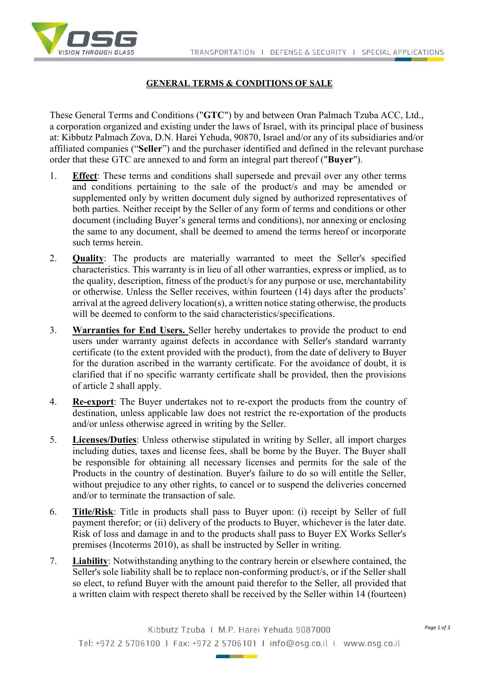

## **GENERAL TERMS & CONDITIONS OF SALE**

These General Terms and Conditions ("**GTC**") by and between Oran Palmach Tzuba ACC, Ltd., a corporation organized and existing under the laws of Israel, with its principal place of business at: Kibbutz Palmach Zova, D.N. Harei Yehuda, 90870, Israel and/or any of its subsidiaries and/or affiliated companies ("**Seller**") and the purchaser identified and defined in the relevant purchase order that these GTC are annexed to and form an integral part thereof ("**Buyer**").

- 1. **Effect**: These terms and conditions shall supersede and prevail over any other terms and conditions pertaining to the sale of the product/s and may be amended or supplemented only by written document duly signed by authorized representatives of both parties. Neither receipt by the Seller of any form of terms and conditions or other document (including Buyer's general terms and conditions), nor annexing or enclosing the same to any document, shall be deemed to amend the terms hereof or incorporate such terms herein.
- 2. **Quality**: The products are materially warranted to meet the Seller's specified characteristics. This warranty is in lieu of all other warranties, express or implied, as to the quality, description, fitness of the product/s for any purpose or use, merchantability or otherwise. Unless the Seller receives, within fourteen (14) days after the products' arrival at the agreed delivery location(s), a written notice stating otherwise, the products will be deemed to conform to the said characteristics/specifications.
- 3. **Warranties for End Users.** Seller hereby undertakes to provide the product to end users under warranty against defects in accordance with Seller's standard warranty certificate (to the extent provided with the product), from the date of delivery to Buyer for the duration ascribed in the warranty certificate. For the avoidance of doubt, it is clarified that if no specific warranty certificate shall be provided, then the provisions of article 2 shall apply.
- 4. **Re-export**: The Buyer undertakes not to re-export the products from the country of destination, unless applicable law does not restrict the re-exportation of the products and/or unless otherwise agreed in writing by the Seller.
- 5. **Licenses/Duties**: Unless otherwise stipulated in writing by Seller, all import charges including duties, taxes and license fees, shall be borne by the Buyer. The Buyer shall be responsible for obtaining all necessary licenses and permits for the sale of the Products in the country of destination. Buyer's failure to do so will entitle the Seller, without prejudice to any other rights, to cancel or to suspend the deliveries concerned and/or to terminate the transaction of sale.
- 6. **Title/Risk**: Title in products shall pass to Buyer upon: (i) receipt by Seller of full payment therefor; or (ii) delivery of the products to Buyer, whichever is the later date. Risk of loss and damage in and to the products shall pass to Buyer EX Works Seller's premises (Incoterms 2010), as shall be instructed by Seller in writing.
- 7. **Liability**: Notwithstanding anything to the contrary herein or elsewhere contained, the Seller's sole liability shall be to replace non-conforming product/s, or if the Seller shall so elect, to refund Buyer with the amount paid therefor to the Seller, all provided that a written claim with respect thereto shall be received by the Seller within 14 (fourteen)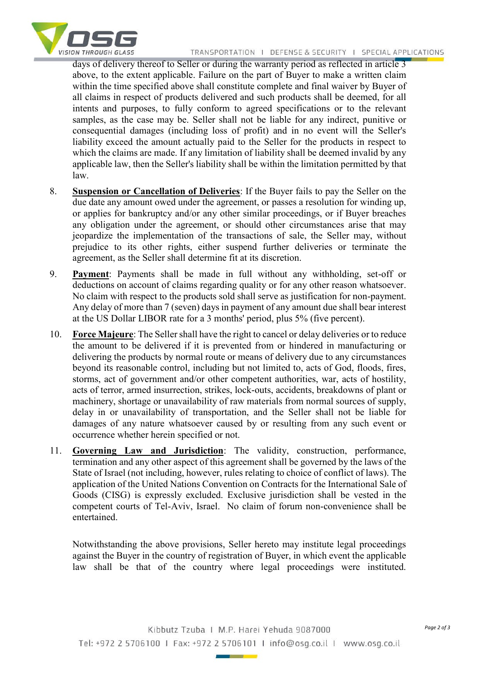

days of delivery thereof to Seller or during the warranty period as reflected in article 3 above, to the extent applicable. Failure on the part of Buyer to make a written claim within the time specified above shall constitute complete and final waiver by Buyer of all claims in respect of products delivered and such products shall be deemed, for all intents and purposes, to fully conform to agreed specifications or to the relevant samples, as the case may be. Seller shall not be liable for any indirect, punitive or consequential damages (including loss of profit) and in no event will the Seller's liability exceed the amount actually paid to the Seller for the products in respect to which the claims are made. If any limitation of liability shall be deemed invalid by any applicable law, then the Seller's liability shall be within the limitation permitted by that law.

- 8. **Suspension or Cancellation of Deliveries**: If the Buyer fails to pay the Seller on the due date any amount owed under the agreement, or passes a resolution for winding up, or applies for bankruptcy and/or any other similar proceedings, or if Buyer breaches any obligation under the agreement, or should other circumstances arise that may jeopardize the implementation of the transactions of sale, the Seller may, without prejudice to its other rights, either suspend further deliveries or terminate the agreement, as the Seller shall determine fit at its discretion.
- 9. **Payment**: Payments shall be made in full without any withholding, set-off or deductions on account of claims regarding quality or for any other reason whatsoever. No claim with respect to the products sold shall serve as justification for non-payment. Any delay of more than 7 (seven) days in payment of any amount due shall bear interest at the US Dollar LIBOR rate for a 3 months' period, plus 5% (five percent).
- 10. **Force Majeure**: The Seller shall have the right to cancel or delay deliveries or to reduce the amount to be delivered if it is prevented from or hindered in manufacturing or delivering the products by normal route or means of delivery due to any circumstances beyond its reasonable control, including but not limited to, acts of God, floods, fires, storms, act of government and/or other competent authorities, war, acts of hostility, acts of terror, armed insurrection, strikes, lock-outs, accidents, breakdowns of plant or machinery, shortage or unavailability of raw materials from normal sources of supply, delay in or unavailability of transportation, and the Seller shall not be liable for damages of any nature whatsoever caused by or resulting from any such event or occurrence whether herein specified or not.
- 11. **Governing Law and Jurisdiction**: The validity, construction, performance, termination and any other aspect of this agreement shall be governed by the laws of the State of Israel (not including, however, rules relating to choice of conflict of laws). The application of the United Nations Convention on Contracts for the International Sale of Goods (CISG) is expressly excluded. Exclusive jurisdiction shall be vested in the competent courts of Tel-Aviv, Israel. No claim of forum non-convenience shall be entertained.

Notwithstanding the above provisions, Seller hereto may institute legal proceedings against the Buyer in the country of registration of Buyer, in which event the applicable law shall be that of the country where legal proceedings were instituted.